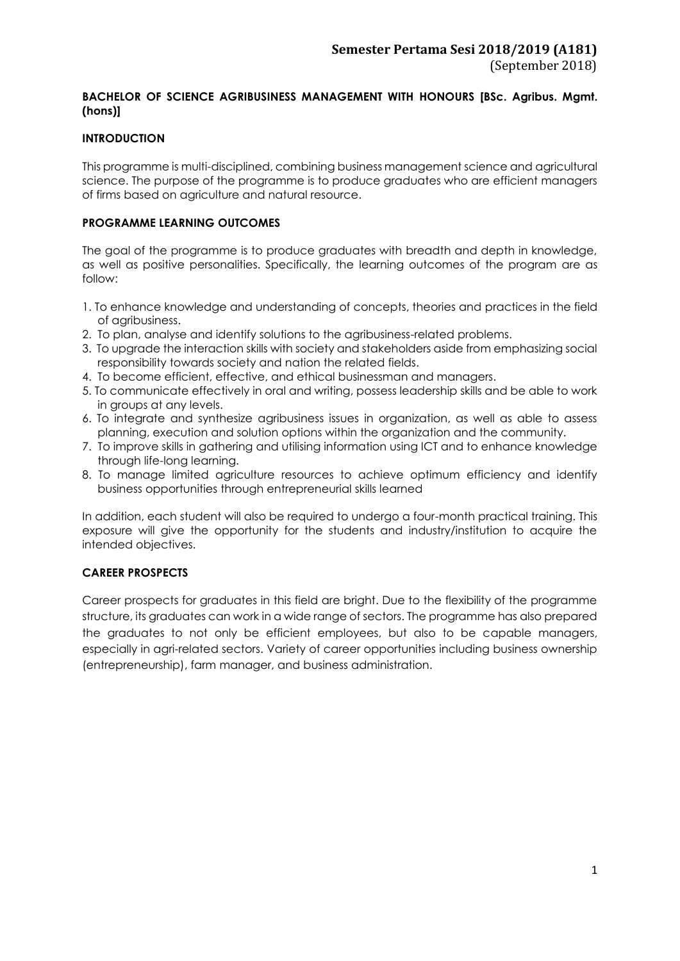### **BACHELOR OF SCIENCE AGRIBUSINESS MANAGEMENT WITH HONOURS [BSc. Agribus. Mgmt. (hons)]**

### **INTRODUCTION**

This programme is multi-disciplined, combining business management science and agricultural science. The purpose of the programme is to produce graduates who are efficient managers of firms based on agriculture and natural resource.

### **PROGRAMME LEARNING OUTCOMES**

The goal of the programme is to produce graduates with breadth and depth in knowledge, as well as positive personalities. Specifically, the learning outcomes of the program are as follow:

- 1. To enhance knowledge and understanding of concepts, theories and practices in the field of agribusiness.
- 2. To plan, analyse and identify solutions to the agribusiness-related problems.
- 3. To upgrade the interaction skills with society and stakeholders aside from emphasizing social responsibility towards society and nation the related fields.
- 4. To become efficient, effective, and ethical businessman and managers.
- 5. To communicate effectively in oral and writing, possess leadership skills and be able to work in groups at any levels.
- 6. To integrate and synthesize agribusiness issues in organization, as well as able to assess planning, execution and solution options within the organization and the community.
- 7. To improve skills in gathering and utilising information using ICT and to enhance knowledge through life-long learning.
- 8. To manage limited agriculture resources to achieve optimum efficiency and identify business opportunities through entrepreneurial skills learned

In addition, each student will also be required to undergo a four-month practical training. This exposure will give the opportunity for the students and industry/institution to acquire the intended objectives.

### **CAREER PROSPECTS**

Career prospects for graduates in this field are bright. Due to the flexibility of the programme structure, its graduates can work in a wide range of sectors. The programme has also prepared the graduates to not only be efficient employees, but also to be capable managers, especially in agri-related sectors. Variety of career opportunities including business ownership (entrepreneurship), farm manager, and business administration.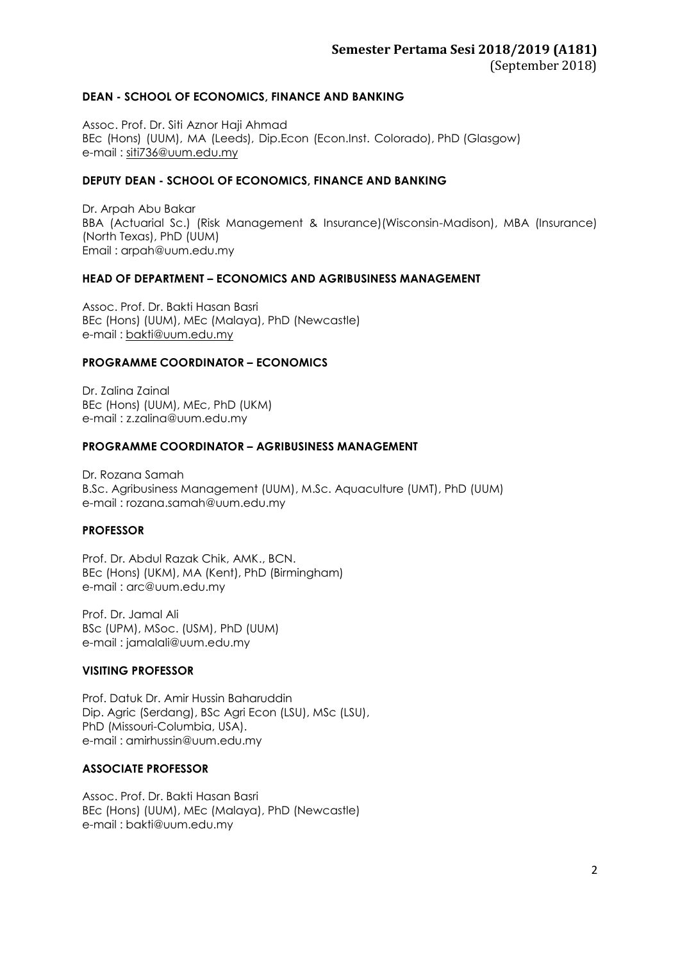### **DEAN - SCHOOL OF ECONOMICS, FINANCE AND BANKING**

Assoc. Prof. Dr. Siti Aznor Haji Ahmad BEc (Hons) (UUM), MA (Leeds), Dip.Econ (Econ.Inst. Colorado), PhD (Glasgow) e-mail : [siti736@uum.edu.my](mailto:siti736@uum.edu.my)

### **DEPUTY DEAN - SCHOOL OF ECONOMICS, FINANCE AND BANKING**

Dr. Arpah Abu Bakar BBA (Actuarial Sc.) (Risk Management & Insurance)(Wisconsin-Madison), MBA (Insurance) (North Texas), PhD (UUM) Email : arpah@uum.edu.my

### **HEAD OF DEPARTMENT – ECONOMICS AND AGRIBUSINESS MANAGEMENT**

Assoc. Prof. Dr. Bakti Hasan Basri BEc (Hons) (UUM), MEc (Malaya), PhD (Newcastle) e-mail : [bakti@uum.edu.my](mailto:bakti@uum.edu.my)

### **PROGRAMME COORDINATOR – ECONOMICS**

Dr. Zalina Zainal BEc (Hons) (UUM), MEc, PhD (UKM) e-mail : [z.zalina@uum.edu.my](mailto:z.zalina@uum.edu.my)

### **PROGRAMME COORDINATOR – AGRIBUSINESS MANAGEMENT**

Dr. Rozana Samah B.Sc. Agribusiness Management (UUM), M.Sc. Aquaculture (UMT), PhD (UUM) e-mail : [rozana.samah@uum.edu.my](mailto:rozana.samah@uum.edu.my)

### **PROFESSOR**

Prof. Dr. Abdul Razak Chik, AMK., BCN. BEc (Hons) (UKM), MA (Kent), PhD (Birmingham) e-mail : [arc@uum.edu.my](mailto:arc@uum.edu.my)

Prof. Dr. Jamal Ali BSc (UPM), MSoc. (USM), PhD (UUM) e-mail : [jamalali@uum.edu.my](mailto:jamalali@uum.edu.my)

### **VISITING PROFESSOR**

Prof. Datuk Dr. Amir Hussin Baharuddin Dip. Agric (Serdang), BSc Agri Econ (LSU), MSc (LSU), PhD (Missouri-Columbia, USA). e-mail : [amirhussin@uum.edu.my](mailto:amirhussin@uum.edu.my)

### **ASSOCIATE PROFESSOR**

Assoc. Prof. Dr. Bakti Hasan Basri BEc (Hons) (UUM), MEc (Malaya), PhD (Newcastle) e-mail : [bakti@uum.edu.my](mailto:bakti@uum.edu.my)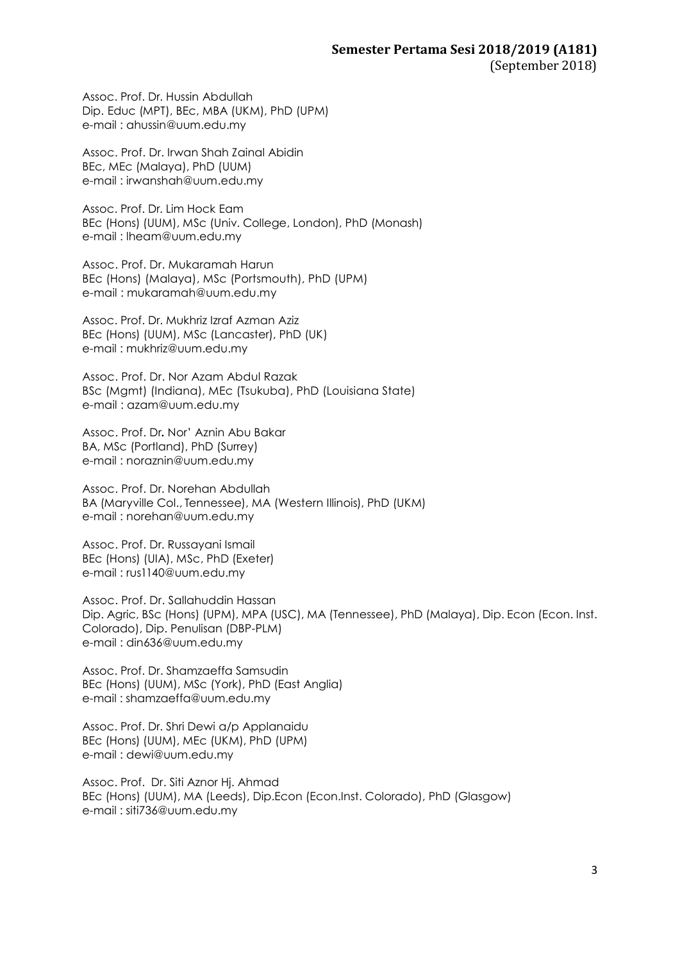Assoc. Prof. Dr. Hussin Abdullah Dip. Educ (MPT), BEc, MBA (UKM), PhD (UPM) e-mail : [ahussin@uum.edu.my](mailto:ahussin@uum.edu.my)

Assoc. Prof. Dr. Irwan Shah Zainal Abidin BEc, MEc (Malaya), PhD (UUM) e-mail : [irwanshah@uum.edu.my](mailto:irwanshah@uum.edu.my)

Assoc. Prof. Dr. Lim Hock Eam BEc (Hons) (UUM), MSc (Univ. College, London), PhD (Monash) e-mail : [lheam@uum.edu.my](mailto:lheam@uum.edu.my)

Assoc. Prof. Dr. Mukaramah Harun BEc (Hons) (Malaya), MSc (Portsmouth), PhD (UPM) e-mail : mukaramah@uum.edu.my

Assoc. Prof. Dr. Mukhriz Izraf Azman Aziz BEc (Hons) (UUM), MSc (Lancaster), PhD (UK) e-mail : [mukhriz@uum.edu.my](mailto:mukhriz@uum.edu.my)

Assoc. Prof. Dr. Nor Azam Abdul Razak BSc (Mgmt) (Indiana), MEc (Tsukuba), PhD (Louisiana State) e-mail : [azam@uum.edu.my](mailto:azam@uum.edu.my)

Assoc. Prof. Dr**.** Nor' Aznin Abu Bakar BA, MSc (Portland), PhD (Surrey) e-mail : [noraznin@uum.edu.my](mailto:noraznin@uum.edu.my)

Assoc. Prof. Dr. Norehan Abdullah BA (Maryville Col., Tennessee), MA (Western Illinois), PhD (UKM) e-mail : [norehan@uum.edu.my](mailto:norehan@uum.edu.my)

Assoc. Prof. Dr. Russayani Ismail BEc (Hons) (UIA), MSc, PhD (Exeter) e-mail : [rus1140@uum.edu.my](mailto:rus1140@uum.edu.my)

Assoc. Prof. Dr. Sallahuddin Hassan Dip. Agric, BSc (Hons) (UPM), MPA (USC), MA (Tennessee), PhD (Malaya), Dip. Econ (Econ. Inst. Colorado), Dip. Penulisan (DBP-PLM) e-mail : [din636@uum.edu.my](mailto:din636@uum.edu.my)

Assoc. Prof. Dr. Shamzaeffa Samsudin BEc (Hons) (UUM), MSc (York), PhD (East Anglia) e-mail : shamzaeffa@uum.edu.my

Assoc. Prof. Dr. Shri Dewi a/p Applanaidu BEc (Hons) (UUM), MEc (UKM), PhD (UPM) e-mail : [dewi@uum.edu.my](mailto:dewi@uum.edu.my)

Assoc. Prof. Dr. Siti Aznor Hj. Ahmad BEc (Hons) (UUM), MA (Leeds), Dip.Econ (Econ.Inst. Colorado), PhD (Glasgow) e-mail : siti736@uum.edu.my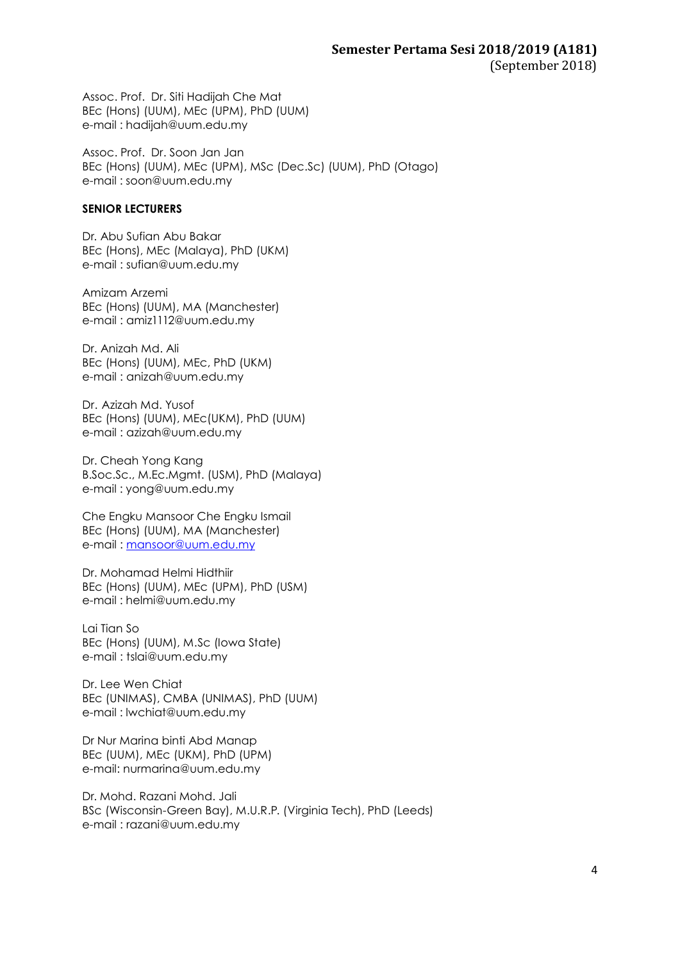Assoc. Prof. Dr. Siti Hadijah Che Mat BEc (Hons) (UUM), MEc (UPM), PhD (UUM) e-mail : [hadijah@uum.edu.my](mailto:hadijah@uum.edu.my)

Assoc. Prof. Dr. Soon Jan Jan BEc (Hons) (UUM), MEc (UPM), MSc (Dec.Sc) (UUM), PhD (Otago) e-mail : soon@uum.edu.my

### **SENIOR LECTURERS**

Dr. Abu Sufian Abu Bakar BEc (Hons), MEc (Malaya), PhD (UKM) e-mail : [sufian@uum.edu.my](mailto:sufian@uum.edu.my)

Amizam Arzemi BEc (Hons) (UUM), MA (Manchester) e-mail : [amiz1112@uum.edu.my](mailto:amiz1112@uum.edu.my)

Dr. Anizah Md. Ali BEc (Hons) (UUM), MEc, PhD (UKM) e-mail : [anizah@uum.edu.my](mailto:anizah@uum.edu.my)

Dr. Azizah Md. Yusof BEc (Hons) (UUM), MEc(UKM), PhD (UUM) e-mail : [azizah@uum.edu.my](mailto:azizah@uum.edu.my)

Dr. Cheah Yong Kang B.Soc.Sc., M.Ec.Mgmt. (USM), PhD (Malaya) e-mail : [yong@uum.edu.my](mailto:yong@uum.edu.my)

Che Engku Mansoor Che Engku Ismail BEc (Hons) (UUM), MA (Manchester) e-mail : [mansoor@uum.edu.my](mailto:mansoor@uum.edu.my)

Dr. Mohamad Helmi Hidthiir BEc (Hons) (UUM), MEc (UPM), PhD (USM) e-mail : helmi@uum.edu.my

Lai Tian So BEc (Hons) (UUM), M.Sc (Iowa State) e-mail : [tslai@uum.edu.my](mailto:tslai@uum.edu.my)

Dr. Lee Wen Chiat BEc (UNIMAS), CMBA (UNIMAS), PhD (UUM) e-mail : lwchiat@uum.edu.my

Dr Nur Marina binti Abd Manap BEc (UUM), MEc (UKM), PhD (UPM) e-mail: nu[rmarina@uum.edu.my](mailto:marina@uum.edu.my)

Dr. Mohd. Razani Mohd. Jali BSc (Wisconsin-Green Bay), M.U.R.P. (Virginia Tech), PhD (Leeds) e-mail : [razani@uum.edu.my](mailto:razani@uum.edu.my)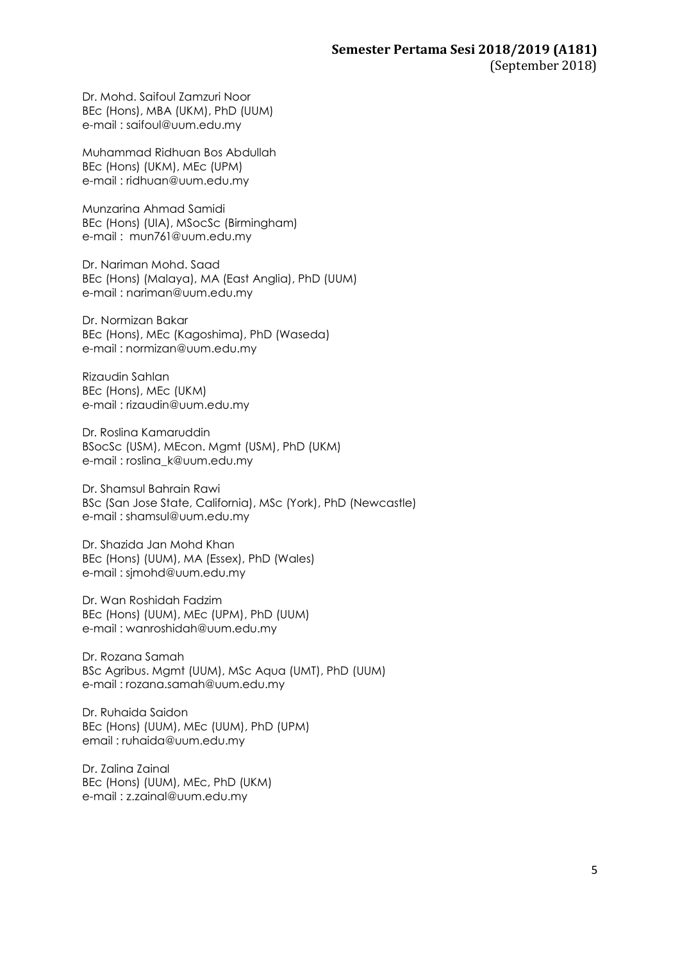Dr. Mohd. Saifoul Zamzuri Noor BEc (Hons), MBA (UKM), PhD (UUM) e-mail : [saifoul@uum.edu.my](mailto:saifoul@uum.edu.my)

Muhammad Ridhuan Bos Abdullah BEc (Hons) (UKM), MEc (UPM) e-mail : [ridhuan@uum.edu.my](mailto:ridhuan@uum.edu.my)

Munzarina Ahmad Samidi BEc (Hons) (UIA), MSocSc (Birmingham) e-mail : [mun761@uum.edu.my](mailto:mun761@uum.edu.my)

Dr. Nariman Mohd. Saad BEc (Hons) (Malaya), MA (East Anglia), PhD (UUM) e-mail : [nariman@uum.edu.my](mailto:nariman@uum.edu.my)

Dr. Normizan Bakar BEc (Hons), MEc (Kagoshima), PhD (Waseda) e-mail : [normizan@uum.edu.my](mailto:normizan@uum.edu.my)

Rizaudin Sahlan BEc (Hons), MEc (UKM) e-mail : [rizaudin@uum.edu.my](mailto:rizaudin@uum.edu.my)

Dr. Roslina Kamaruddin BSocSc (USM), MEcon. Mgmt (USM), PhD (UKM) e-mail : [roslina\\_k@uum.edu.my](mailto:roslina_k@uum.edu.my)

Dr. Shamsul Bahrain Rawi BSc (San Jose State, California), MSc (York), PhD (Newcastle) e-mail : [shamsul@uum.edu.my](mailto:shamsul@uum.edu.my)

Dr. Shazida Jan Mohd Khan BEc (Hons) (UUM), MA (Essex), PhD (Wales) e-mail : sjmohd@uum.edu.my

Dr. Wan Roshidah Fadzim BEc (Hons) (UUM), MEc (UPM), PhD (UUM) e-mail : [wanroshidah@uum.edu.my](mailto:wanroshidah@uum.edu.my)

Dr. Rozana Samah BSc Agribus. Mgmt (UUM), MSc Aqua (UMT), PhD (UUM) e-mail : rozana.samah@uum.edu.my

Dr. Ruhaida Saidon BEc (Hons) (UUM), MEc (UUM), PhD (UPM) email : ruhaida@uum.edu.my

Dr. Zalina Zainal BEc (Hons) (UUM), MEc, PhD (UKM) e-mail : [z.zainal@uum.edu.my](mailto:z.zainal@uum.edu.my)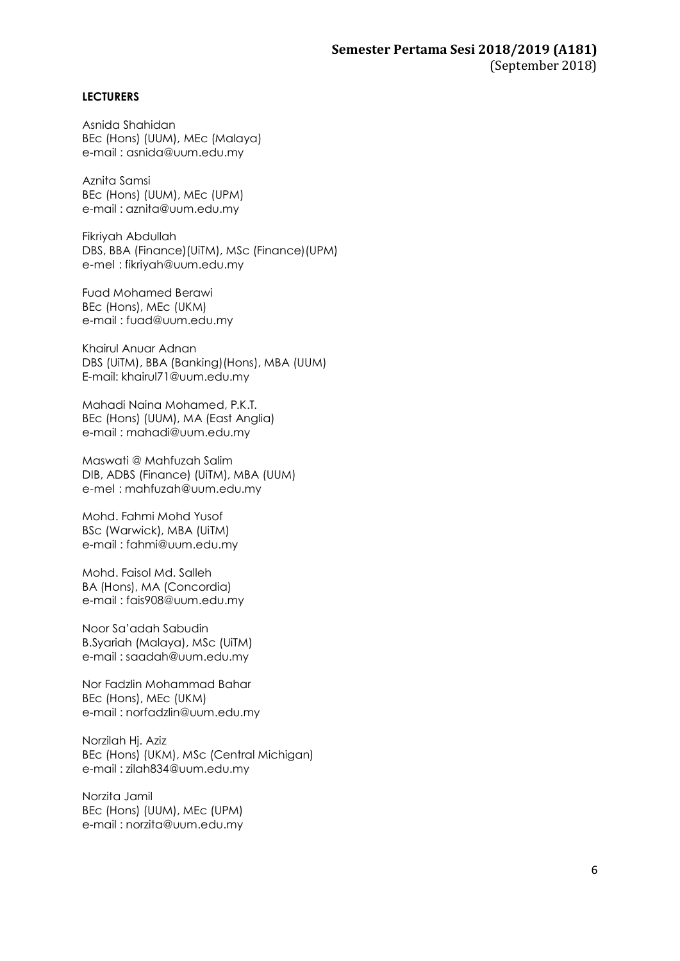### **LECTURERS**

Asnida Shahidan BEc (Hons) (UUM), MEc (Malaya) e-mail : [asnida@uum.edu.my](mailto:asnida@uum.edu.my)

Aznita Samsi BEc (Hons) (UUM), MEc (UPM) e-mail : [aznita@uum.edu.my](mailto:aznita@uum.edu.my)

Fikriyah Abdullah DBS, BBA (Finance)(UiTM), MSc (Finance)(UPM) e-mel : [fikriyah@uum.edu.my](mailto:fikriyah@uum.edu.my)

Fuad Mohamed Berawi BEc (Hons), MEc (UKM) e-mail : [fuad@uum.edu.my](mailto:fuad@uum.edu.my)

Khairul Anuar Adnan DBS (UiTM), BBA (Banking)(Hons), MBA (UUM) E-mail: khairul71@uum.edu.my

Mahadi Naina Mohamed, P.K.T. BEc (Hons) (UUM), MA (East Anglia) e-mail : [mahadi@uum.edu.my](mailto:mahadi@uum.edu.my)

Maswati @ Mahfuzah Salim DIB, ADBS (Finance) (UiTM), MBA (UUM) e-mel : [mahfuzah@uum.edu.my](mailto:mahfuzah@uum.edu.my)

Mohd. Fahmi Mohd Yusof BSc (Warwick), MBA (UiTM) e-mail : [fahmi@uum.edu.my](mailto:fahmi@uum.edu.my)

Mohd. Faisol Md. Salleh BA (Hons), MA (Concordia) e-mail : [fais908@uum.edu.my](mailto:fais908@uum.edu.my)

Noor Sa'adah Sabudin B.Syariah (Malaya), MSc (UiTM) e-mail : [saadah@uum.edu.my](mailto:saadah@uum.edu.my)

Nor Fadzlin Mohammad Bahar BEc (Hons), MEc (UKM) e-mail : [norfadzlin@uum.edu.my](mailto:norfadzlin@uum.edu.my)

Norzilah Hj. Aziz BEc (Hons) (UKM), MSc (Central Michigan) e-mail : [zilah834@uum.edu.my](mailto:zilah834@uum.edu.my)

Norzita Jamil BEc (Hons) (UUM), MEc (UPM) e-mail : [norzita@uum.edu.my](mailto:norzita@uum.edu.my)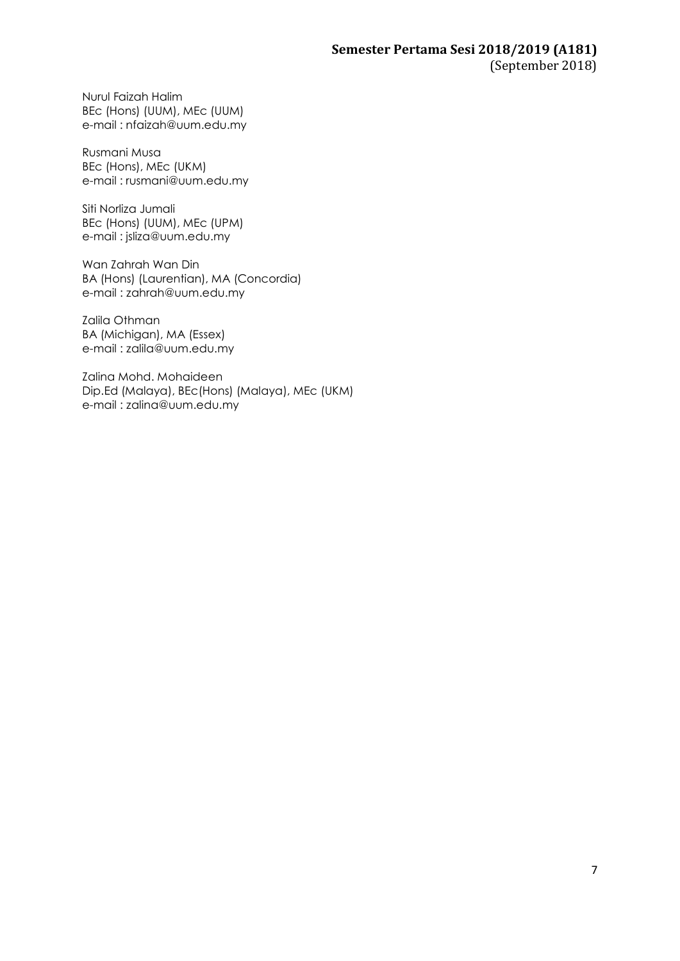Nurul Faizah Halim BEc (Hons) (UUM), MEc (UUM) e-mail : [nfaizah@uum.edu.my](mailto:nfaizah@uum.edu.my)

Rusmani Musa BEc (Hons), MEc (UKM) e-mail : [rusmani@uum.edu.my](mailto:rusmani@uum.edu.my)

Siti Norliza Jumali BEc (Hons) (UUM), MEc (UPM) e-mail : [jsliza@uum.edu.my](mailto:jsliza@uum.edu.my)

Wan Zahrah Wan Din BA (Hons) (Laurentian), MA (Concordia) e-mail : [zahrah@uum.edu.my](mailto:zahrah@uum.edu.my)

Zalila Othman BA (Michigan), MA (Essex) e-mail : [zalila@uum.edu.my](mailto:zalila@uum.edu.my)

Zalina Mohd. Mohaideen Dip.Ed (Malaya), BEc(Hons) (Malaya), MEc (UKM) e-mail : [zalina@uum.edu.my](mailto:zalina@uum.edu.my)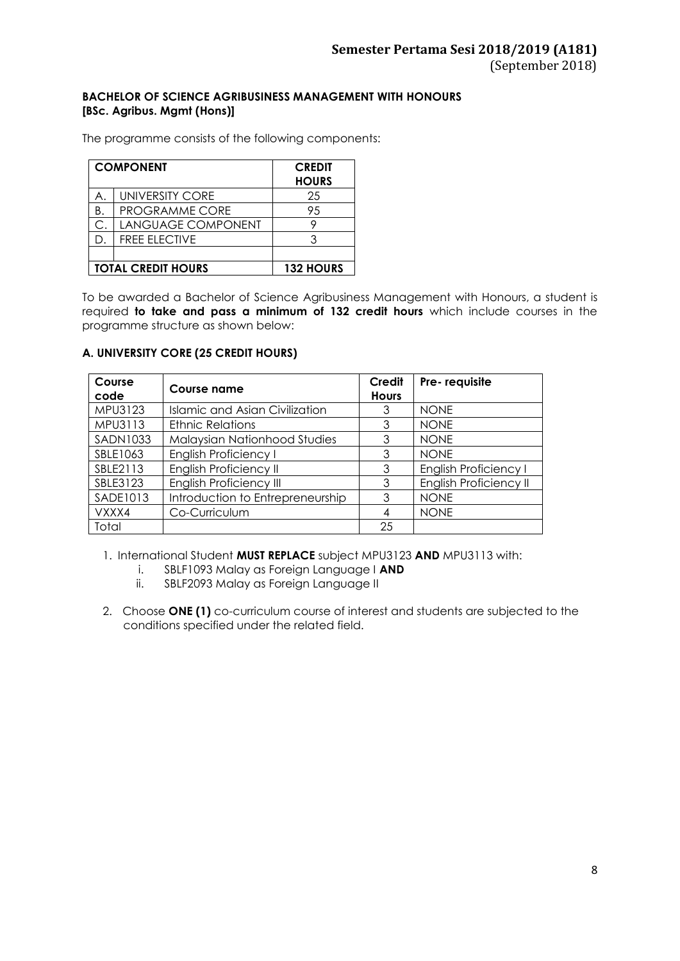### **BACHELOR OF SCIENCE AGRIBUSINESS MANAGEMENT WITH HONOURS [BSc. Agribus. Mgmt (Hons)]**

The programme consists of the following components:

|    | <b>COMPONENT</b>          | <b>CREDIT</b><br><b>HOURS</b> |
|----|---------------------------|-------------------------------|
|    | <b>UNIVERSITY CORE</b>    | 25                            |
| Β. | <b>PROGRAMME CORE</b>     | 95                            |
| С. | LANGUAGE COMPONENT        |                               |
| D. | <b>FREE ELECTIVE</b>      |                               |
|    |                           |                               |
|    | <b>TOTAL CREDIT HOURS</b> | <b>132 HOURS</b>              |

To be awarded a Bachelor of Science Agribusiness Management with Honours, a student is required **to take and pass a minimum of 132 credit hours** which include courses in the programme structure as shown below:

### **A. UNIVERSITY CORE (25 CREDIT HOURS)**

| Course<br>code  | Course name                      | Credit<br><b>Hours</b> | Pre-requisite                 |
|-----------------|----------------------------------|------------------------|-------------------------------|
| MPU3123         | Islamic and Asian Civilization   | 3                      | <b>NONE</b>                   |
| MPU3113         | <b>Ethnic Relations</b>          | 3                      | <b>NONE</b>                   |
| <b>SADN1033</b> | Malaysian Nationhood Studies     | 3                      | <b>NONE</b>                   |
| SBLE1063        | <b>English Proficiency I</b>     | 3                      | <b>NONE</b>                   |
| SBLE2113        | <b>English Proficiency II</b>    | 3                      | <b>English Proficiency I</b>  |
| SBLE3123        | <b>English Proficiency III</b>   | 3                      | <b>English Proficiency II</b> |
| SADE1013        | Introduction to Entrepreneurship | 3                      | <b>NONE</b>                   |
| VXXX4           | Co-Curriculum                    |                        | <b>NONE</b>                   |
| Total           |                                  | 25                     |                               |

1. International Student **MUST REPLACE** subject MPU3123 **AND** MPU3113 with:

- i. SBLF1093 Malay as Foreign Language I **AND**
- ii. SBLF2093 Malay as Foreign Language II
- 2. Choose **ONE (1)** co-curriculum course of interest and students are subjected to the conditions specified under the related field.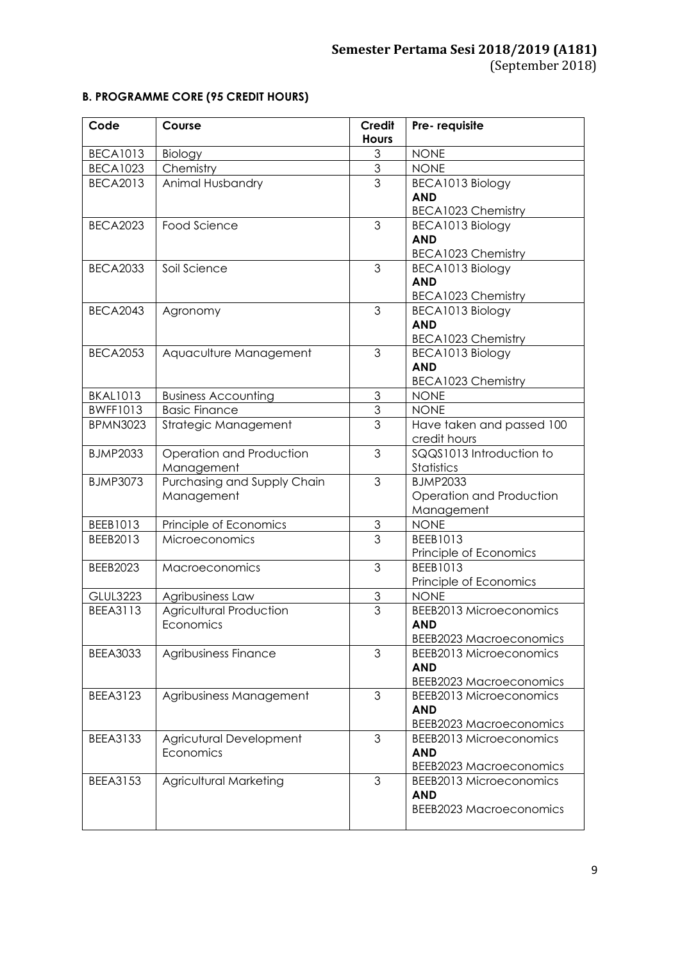# **B. PROGRAMME CORE (95 CREDIT HOURS)**

| Code            | Course                         | Credit         | Pre-requisite                  |  |
|-----------------|--------------------------------|----------------|--------------------------------|--|
|                 |                                | <b>Hours</b>   |                                |  |
| <b>BECA1013</b> | Biology                        | 3              | <b>NONE</b>                    |  |
| <b>BECA1023</b> | Chemistry                      | $\mathfrak 3$  | <b>NONE</b>                    |  |
| <b>BECA2013</b> | Animal Husbandry               | 3              | BECA1013 Biology               |  |
|                 |                                |                | <b>AND</b>                     |  |
|                 |                                |                | BECA1023 Chemistry             |  |
| <b>BECA2023</b> | Food Science                   | 3              | BECA1013 Biology               |  |
|                 |                                |                | <b>AND</b>                     |  |
|                 |                                |                | <b>BECA1023 Chemistry</b>      |  |
| <b>BECA2033</b> | Soil Science                   | 3              | BECA1013 Biology               |  |
|                 |                                |                | <b>AND</b>                     |  |
|                 |                                |                | BECA1023 Chemistry             |  |
| <b>BECA2043</b> | Agronomy                       | 3              | BECA1013 Biology               |  |
|                 |                                |                | <b>AND</b>                     |  |
|                 |                                |                | <b>BECA1023 Chemistry</b>      |  |
| <b>BECA2053</b> | Aquaculture Management         | 3              | BECA1013 Biology               |  |
|                 |                                |                | <b>AND</b>                     |  |
|                 |                                |                | <b>BECA1023 Chemistry</b>      |  |
| <b>BKAL1013</b> | <b>Business Accounting</b>     | 3              | <b>NONE</b>                    |  |
| <b>BWFF1013</b> | <b>Basic Finance</b>           | $\overline{3}$ | <b>NONE</b>                    |  |
| <b>BPMN3023</b> | Strategic Management           | $\overline{3}$ | Have taken and passed 100      |  |
|                 |                                |                | credit hours                   |  |
| <b>BJMP2033</b> | Operation and Production       | 3              | SQQS1013 Introduction to       |  |
|                 | Management                     |                | Statistics                     |  |
| <b>BJMP3073</b> | Purchasing and Supply Chain    | 3              | <b>BJMP2033</b>                |  |
|                 | Management                     |                | Operation and Production       |  |
|                 |                                |                | Management                     |  |
| BEEB1013        | Principle of Economics         | 3              | <b>NONE</b>                    |  |
| BEEB2013        | Microeconomics                 | 3              | BEEB1013                       |  |
|                 |                                |                | Principle of Economics         |  |
| BEEB2023        | <b>Macroeconomics</b>          | 3              | BEEB1013                       |  |
|                 |                                |                | Principle of Economics         |  |
| <b>GLUL3223</b> | Agribusiness Law               | $\overline{3}$ | <b>NONE</b>                    |  |
| <b>BEEA3113</b> | <b>Agricultural Production</b> | $\overline{3}$ | <b>BEEB2013 Microeconomics</b> |  |
|                 | Economics                      |                | <b>AND</b>                     |  |
|                 |                                |                | <b>BEEB2023 Macroeconomics</b> |  |
| <b>BEEA3033</b> | Agribusiness Finance           | 3              | <b>BEEB2013 Microeconomics</b> |  |
|                 |                                |                | <b>AND</b>                     |  |
|                 |                                |                | <b>BEEB2023 Macroeconomics</b> |  |
| <b>BEEA3123</b> | Agribusiness Management        | 3              | <b>BEEB2013 Microeconomics</b> |  |
|                 |                                |                | <b>AND</b>                     |  |
|                 |                                |                | <b>BEEB2023 Macroeconomics</b> |  |
| <b>BEEA3133</b> | Agricutural Development        | 3              | <b>BEEB2013 Microeconomics</b> |  |
|                 | Economics                      |                | <b>AND</b>                     |  |
|                 |                                |                | <b>BEEB2023 Macroeconomics</b> |  |
| <b>BEEA3153</b> | Agricultural Marketing         | 3              | <b>BEEB2013 Microeconomics</b> |  |
|                 |                                |                | <b>AND</b>                     |  |
|                 |                                |                | <b>BEEB2023 Macroeconomics</b> |  |
|                 |                                |                |                                |  |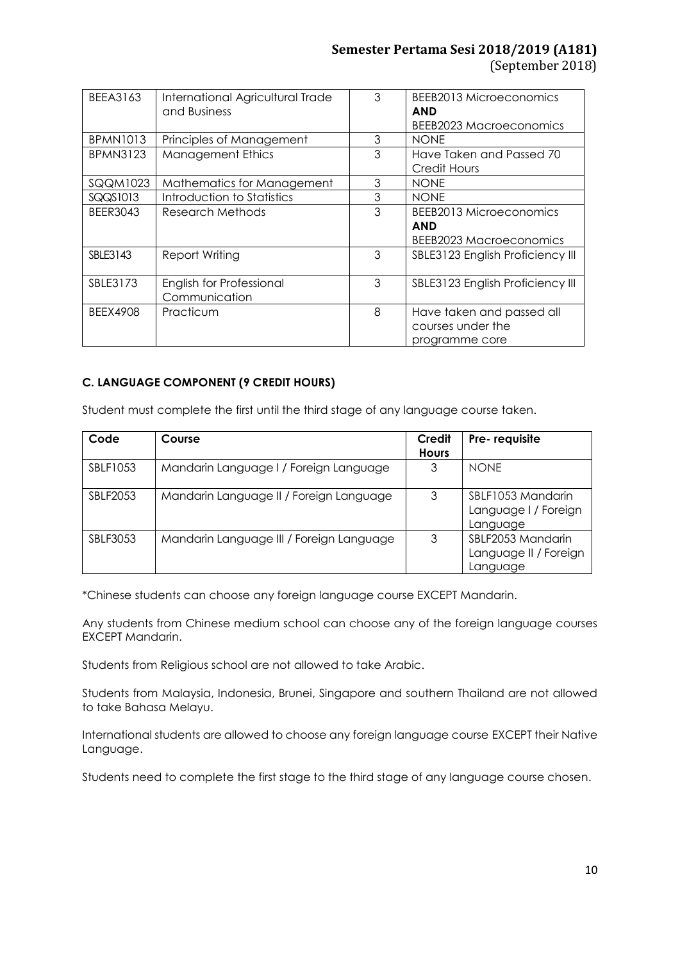# **Semester Pertama Sesi 2018/2019 (A181)** (September 2018)

| <b>BEEA3163</b> | International Agricultural Trade<br>and Business | 3 | BEEB2013 Microeconomics<br><b>AND</b><br>BEEB2023 Macroeconomics |
|-----------------|--------------------------------------------------|---|------------------------------------------------------------------|
| <b>BPMN1013</b> | Principles of Management                         | 3 | <b>NONE</b>                                                      |
| <b>BPMN3123</b> | <b>Management Ethics</b>                         | 3 | Have Taken and Passed 70<br>Credit Hours                         |
| <b>SQQM1023</b> | Mathematics for Management                       | 3 | <b>NONE</b>                                                      |
| SQQS1013        | Introduction to Statistics                       | 3 | <b>NONE</b>                                                      |
| <b>BEER3043</b> | Research Methods                                 | 3 | BEEB2013 Microeconomics                                          |
|                 |                                                  |   | <b>AND</b>                                                       |
|                 |                                                  |   | <b>BEEB2023 Macroeconomics</b>                                   |
| SBLE3143        | <b>Report Writing</b>                            | 3 | SBLE3123 English Proficiency III                                 |
| SBLE3173        | English for Professional<br>Communication        | 3 | SBLE3123 English Proficiency III                                 |
| <b>BEEX4908</b> | Practicum                                        | 8 | Have taken and passed all<br>courses under the<br>programme core |

# **C. LANGUAGE COMPONENT (9 CREDIT HOURS)**

Student must complete the first until the third stage of any language course taken.

| Code            | Course                                   | Credit<br><b>Hours</b> | Pre-requisite                                          |
|-----------------|------------------------------------------|------------------------|--------------------------------------------------------|
| SBLF1053        | Mandarin Language I / Foreign Language   | 3                      | <b>NONE</b>                                            |
| <b>SBLF2053</b> | Mandarin Language II / Foreign Language  | 3                      | SBLF1053 Mandarin<br>Language I / Foreign<br>Language  |
| SBLF3053        | Mandarin Language III / Foreign Language | 3                      | SBLF2053 Mandarin<br>Language II / Foreign<br>Language |

\*Chinese students can choose any foreign language course EXCEPT Mandarin.

Any students from Chinese medium school can choose any of the foreign language courses EXCEPT Mandarin.

Students from Religious school are not allowed to take Arabic.

Students from Malaysia, Indonesia, Brunei, Singapore and southern Thailand are not allowed to take Bahasa Melayu.

International students are allowed to choose any foreign language course EXCEPT their Native Language.

Students need to complete the first stage to the third stage of any language course chosen.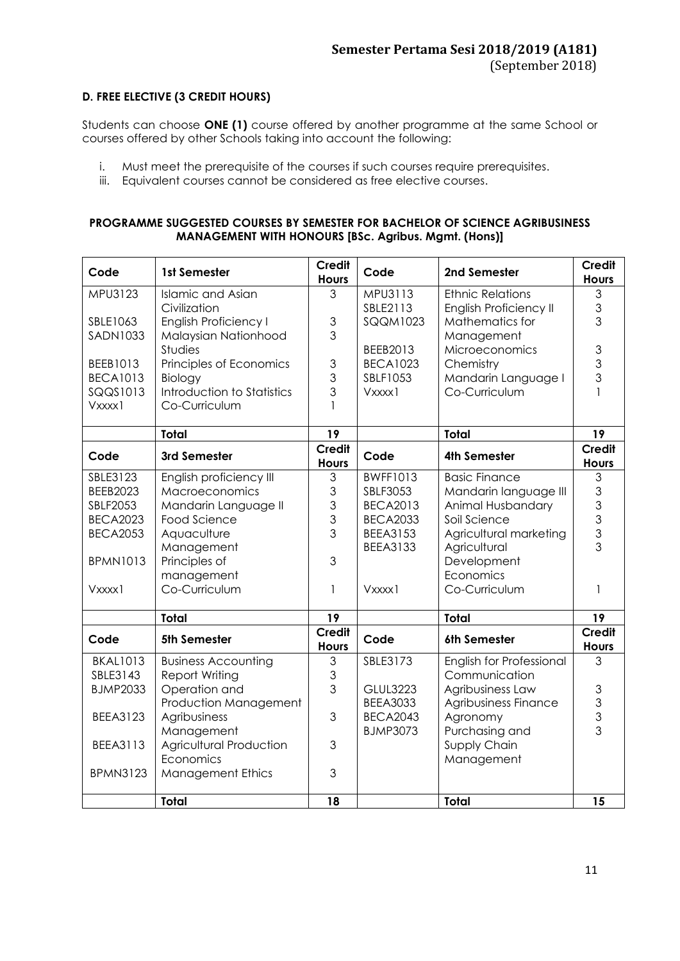# **D. FREE ELECTIVE (3 CREDIT HOURS)**

Students can choose **ONE (1)** course offered by another programme at the same School or courses offered by other Schools taking into account the following:

- i. Must meet the prerequisite of the courses if such courses require prerequisites.
- iii. Equivalent courses cannot be considered as free elective courses.

### **PROGRAMME SUGGESTED COURSES BY SEMESTER FOR BACHELOR OF SCIENCE AGRIBUSINESS MANAGEMENT WITH HONOURS [BSc. Agribus. Mgmt. (Hons)]**

| Code                        | 1st Semester                          | <b>Credit</b><br><b>Hours</b> | Code                               | 2nd Semester                           | <b>Credit</b><br><b>Hours</b> |
|-----------------------------|---------------------------------------|-------------------------------|------------------------------------|----------------------------------------|-------------------------------|
| MPU3123                     | <b>Islamic and Asian</b>              | 3                             | MPU3113                            | <b>Ethnic Relations</b>                | 3                             |
|                             | Civilization                          |                               | SBLE2113                           | English Proficiency II                 | 3                             |
| SBLE1063                    | <b>English Proficiency I</b>          | 3                             | <b>SQQM1023</b>                    | Mathematics for                        | 3                             |
| <b>SADN1033</b>             | Malaysian Nationhood                  | 3                             |                                    | Management                             |                               |
|                             | Studies                               |                               | BEEB2013                           | Microeconomics                         | 3<br>3                        |
| BEEB1013                    | Principles of Economics               | 3<br>3                        | <b>BECA1023</b><br>SBLF1053        | Chemistry                              | 3                             |
| <b>BECA1013</b><br>SQQS1013 | Biology<br>Introduction to Statistics | 3                             | Vxxxx1                             | Mandarin Language I<br>Co-Curriculum   | 1                             |
| Vxxxx1                      | Co-Curriculum                         | 1                             |                                    |                                        |                               |
|                             |                                       |                               |                                    |                                        |                               |
|                             | <b>Total</b>                          | 19                            |                                    | <b>Total</b>                           | 19                            |
| Code                        | 3rd Semester                          | <b>Credit</b><br><b>Hours</b> | Code                               | <b>4th Semester</b>                    | <b>Credit</b><br><b>Hours</b> |
| SBLE3123                    | English proficiency III               | 3                             | <b>BWFF1013</b>                    | <b>Basic Finance</b>                   | 3                             |
| BEEB2023                    | Macroeconomics                        | 3                             | SBLF3053                           | Mandarin language III                  | $\mathfrak{S}$                |
| <b>SBLF2053</b>             | Mandarin Language II                  | 3                             | <b>BECA2013</b>                    | Animal Husbandary                      | 3                             |
| <b>BECA2023</b>             | Food Science                          | 3                             | <b>BECA2033</b>                    | Soil Science                           | 3<br>$\overline{3}$           |
| <b>BECA2053</b>             | Aquaculture<br>Management             | 3                             | <b>BEEA3153</b><br><b>BEEA3133</b> | Agricultural marketing<br>Agricultural | $\overline{3}$                |
| <b>BPMN1013</b>             | Principles of                         | 3                             |                                    | Development                            |                               |
|                             | management                            |                               |                                    | Economics                              |                               |
| Vxxxx1                      | Co-Curriculum                         | 1                             | Vxxxx1                             | Co-Curriculum                          | 1                             |
|                             |                                       |                               |                                    |                                        |                               |
|                             | <b>Total</b>                          | 19                            |                                    | <b>Total</b>                           | 19                            |
| Code                        | 5th Semester                          | <b>Credit</b><br><b>Hours</b> | Code                               | 6th Semester                           | <b>Credit</b><br><b>Hours</b> |
| <b>BKAL1013</b>             | <b>Business Accounting</b>            | 3                             | SBLE3173                           | <b>English for Professional</b>        | 3                             |
| SBLE3143                    | <b>Report Writing</b>                 | 3                             |                                    | Communication                          |                               |
| <b>BJMP2033</b>             | Operation and                         | 3                             | <b>GLUL3223</b>                    | Agribusiness Law                       | 3                             |
|                             | Production Management                 |                               | <b>BEEA3033</b>                    | Agribusiness Finance                   | $\overline{3}$                |
| <b>BEEA3123</b>             | Agribusiness                          | 3                             | <b>BECA2043</b>                    | Agronomy                               | 3<br>3                        |
|                             | Management                            |                               | <b>BJMP3073</b>                    | Purchasing and                         |                               |
| <b>BEEA3113</b>             | Agricultural Production<br>Economics  | 3                             |                                    | Supply Chain                           |                               |
| <b>BPMN3123</b>             | <b>Management Ethics</b>              | 3                             |                                    | Management                             |                               |
|                             |                                       |                               |                                    |                                        |                               |
|                             | <b>Total</b>                          | 18                            |                                    | <b>Total</b>                           | 15                            |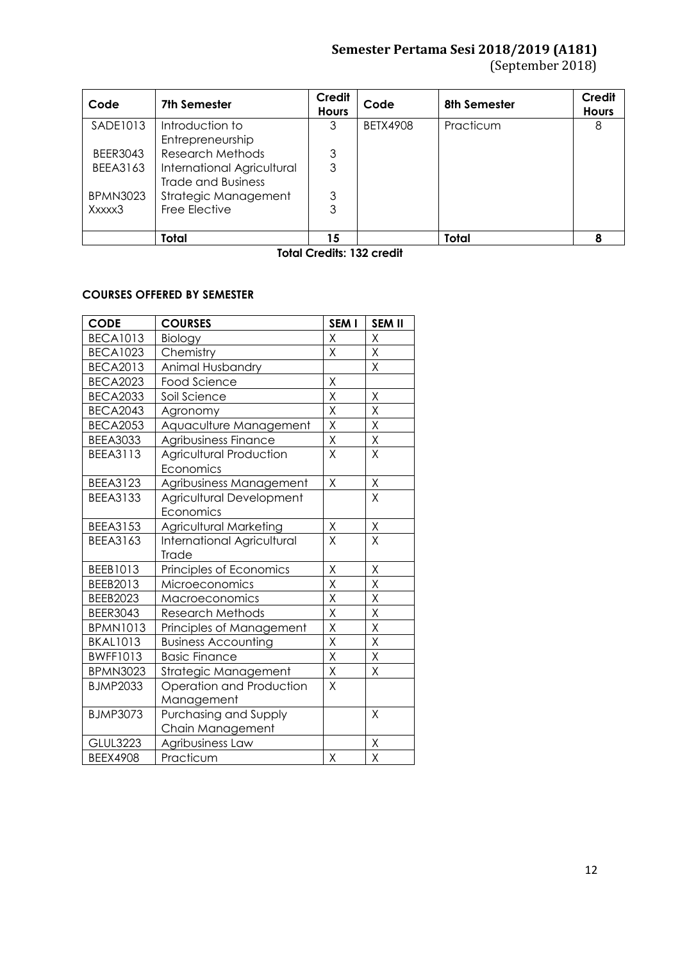# **Semester Pertama Sesi 2018/2019 (A181)**

(September 2018)

| Code                                               | 7th Semester               | <b>Credit</b><br><b>Hours</b> | Code            | 8th Semester | <b>Credit</b><br><b>Hours</b> |
|----------------------------------------------------|----------------------------|-------------------------------|-----------------|--------------|-------------------------------|
| SADE1013                                           | Introduction to            | 3                             | <b>BETX4908</b> | Practicum    | 8                             |
|                                                    | Entrepreneurship           |                               |                 |              |                               |
| <b>BEER3043</b>                                    | Research Methods           | 3                             |                 |              |                               |
| <b>BEEA3163</b>                                    | International Agricultural | 3                             |                 |              |                               |
|                                                    | <b>Trade and Business</b>  |                               |                 |              |                               |
| <b>BPMN3023</b>                                    | Strategic Management       | 3                             |                 |              |                               |
| Xxxxx3                                             | Free Elective              | 3                             |                 |              |                               |
|                                                    |                            |                               |                 |              |                               |
|                                                    | Total                      | 15                            |                 | <b>Total</b> |                               |
| $T = \begin{bmatrix} 1 & 0 \\ 0 & 1 \end{bmatrix}$ |                            |                               |                 |              |                               |

**Total Credits: 132 credit**

# **COURSES OFFERED BY SEMESTER**

| <b>CODE</b>                  | <b>COURSES</b>                    | SEM I                   | <b>SEM II</b> |
|------------------------------|-----------------------------------|-------------------------|---------------|
| <b>BECA1013</b>              | Biology                           | Χ                       | Χ             |
| <b>BECA1023</b>              | Chemistry                         | Χ                       | Χ             |
| <b>BECA2013</b>              | Animal Husbandry                  |                         | X             |
| <b>BECA2023</b>              | <b>Food Science</b>               | X                       |               |
| <b>BECA2033</b>              | Soil Science                      | Χ                       | Χ             |
| <b>BECA2043</b>              | Agronomy                          | X                       | X             |
| <b>BECA2053</b>              | Aquaculture Management            | X                       | Χ             |
| <b>BEEA3033</b>              | Agribusiness Finance              | X                       | Χ             |
| <b>BEEA3113</b>              | <b>Agricultural Production</b>    | X                       | X             |
|                              | Economics                         |                         |               |
| BEEA3123                     | Agribusiness Management           | X                       | $\mathsf X$   |
| <b>BEEA3133</b>              | Agricultural Development          |                         | Χ             |
|                              | Economics                         |                         |               |
| <b>BEEA3153</b>              | <b>Agricultural Marketing</b>     | Χ                       | Χ             |
| <b>BEEA3163</b>              | <b>International Agricultural</b> | X                       | X             |
|                              | Trade                             |                         |               |
| BEEB1013                     | Principles of Economics           | $\overline{X}$          | Χ             |
| BEEB2013                     | Microeconomics                    | X                       | X             |
| <b>BEEB2023</b>              | Macroeconomics                    | $\overline{\mathsf{x}}$ | Χ             |
| <b>BEER3043</b>              | <b>Research Methods</b>           | Χ                       | Χ             |
| <b>BPMN1013</b>              | Principles of Management          | $\mathsf X$             | $\mathsf X$   |
| <b>BKAL1013</b>              | <b>Business Accounting</b>        | $\overline{\mathsf{X}}$ | X             |
| <b>BWFF1013</b>              | <b>Basic Finance</b>              | $\sf X$                 | X             |
| <b>BPMN3023</b>              | Strategic Management              | X                       | Χ             |
| <b>BJMP2033</b>              | Operation and Production          | X                       |               |
|                              | Management                        |                         |               |
| <b>BJMP3073</b>              | Purchasing and Supply             |                         | X             |
|                              | Chain Management                  |                         |               |
| <b>GLUL3223</b>              | Agribusiness Law                  |                         | Χ             |
| Practicum<br><b>BEEX4908</b> |                                   | $\sf X$                 | X             |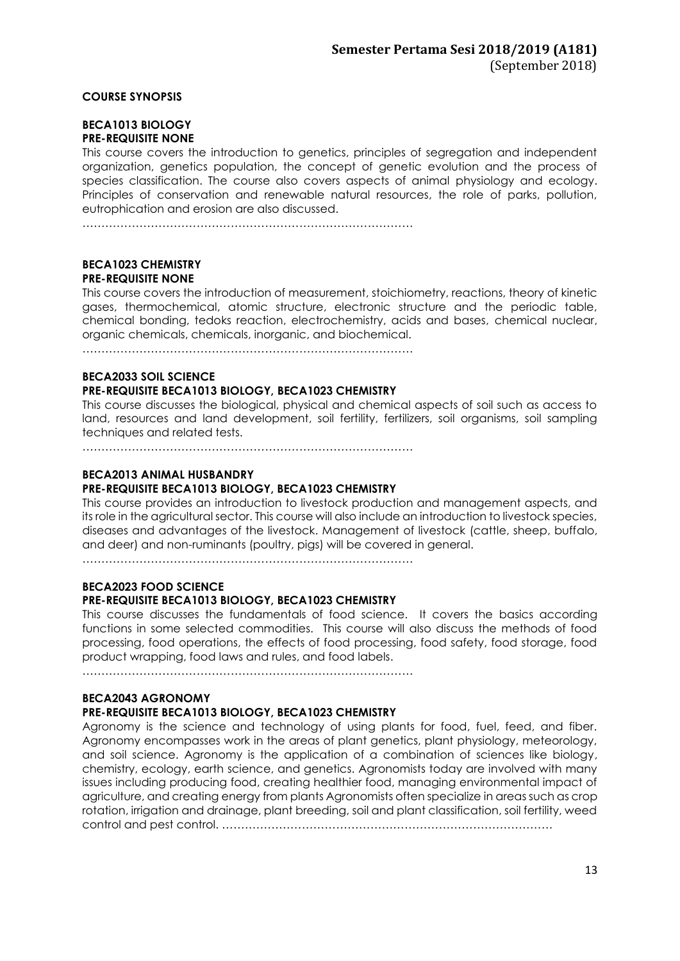### **COURSE SYNOPSIS**

#### **BECA1013 BIOLOGY PRE-REQUISITE NONE**

This course covers the introduction to genetics, principles of segregation and independent organization, genetics population, the concept of genetic evolution and the process of species classification. The course also covers aspects of animal physiology and ecology. Principles of conservation and renewable natural resources, the role of parks, pollution, eutrophication and erosion are also discussed.

……………………………………………………………………………

### **BECA1023 CHEMISTRY PRE-REQUISITE NONE**

This course covers the introduction of measurement, stoichiometry, reactions, theory of kinetic gases, thermochemical, atomic structure, electronic structure and the periodic table, chemical bonding, tedoks reaction, electrochemistry, acids and bases, chemical nuclear, organic chemicals, chemicals, inorganic, and biochemical.

……………………………………………………………………………

### **BECA2033 SOIL SCIENCE PRE-REQUISITE BECA1013 BIOLOGY, BECA1023 CHEMISTRY**

This course discusses the biological, physical and chemical aspects of soil such as access to land, resources and land development, soil fertility, fertilizers, soil organisms, soil sampling techniques and related tests.

……………………………………………………………………………

#### **BECA2013 ANIMAL HUSBANDRY**

### **PRE-REQUISITE BECA1013 BIOLOGY, BECA1023 CHEMISTRY**

This course provides an introduction to livestock production and management aspects, and its role in the agricultural sector. This course will also include an introduction to livestock species, diseases and advantages of the livestock. Management of livestock (cattle, sheep, buffalo, and deer) and non-ruminants (poultry, pigs) will be covered in general.

……………………………………………………………………………

### **BECA2023 FOOD SCIENCE PRE-REQUISITE BECA1013 BIOLOGY, BECA1023 CHEMISTRY**

### This course discusses the fundamentals of food science. It covers the basics according functions in some selected commodities. This course will also discuss the methods of food processing, food operations, the effects of food processing, food safety, food storage, food product wrapping, food laws and rules, and food labels.

……………………………………………………………………………

### **BECA2043 AGRONOMY**

### **PRE-REQUISITE BECA1013 BIOLOGY, BECA1023 CHEMISTRY**

Agronomy is the science and technology of using plants for food, fuel, feed, and fiber. Agronomy encompasses work in the areas of plant genetics, plant physiology, meteorology, and soil science. Agronomy is the application of a combination of sciences like biology, chemistry, ecology, earth science, and genetics. Agronomists today are involved with many issues including producing food, creating healthier food, managing environmental impact of agriculture, and creating energy from plants Agronomists often specialize in areas such as crop rotation, irrigation and drainage, plant breeding, soil and plant classification, soil fertility, weed control and pest control. ……………………………………………………………………………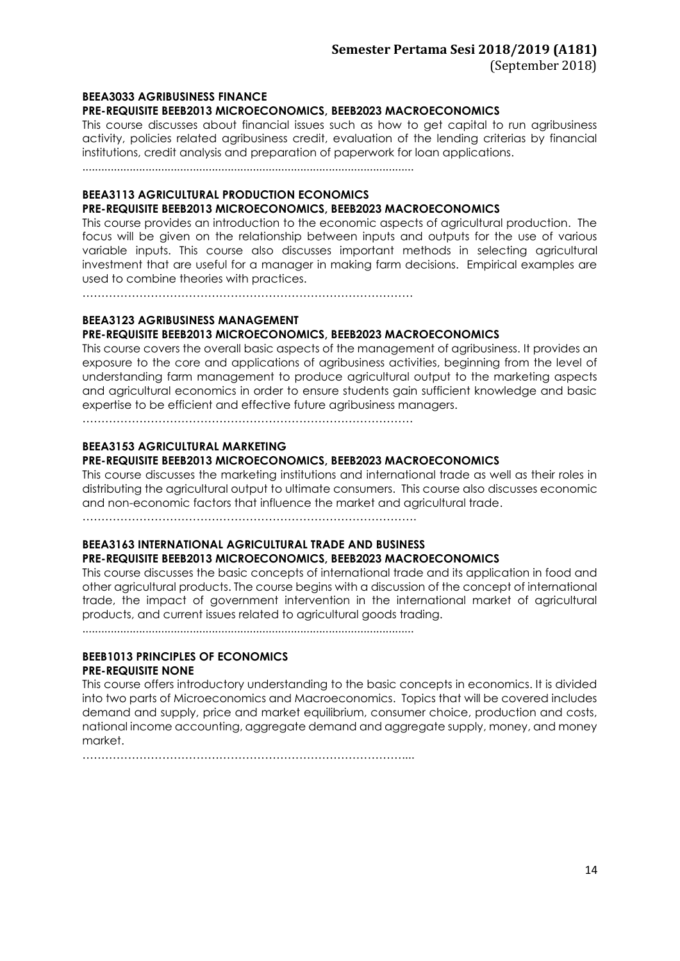#### **BEEA3033 AGRIBUSINESS FINANCE PRE-REQUISITE BEEB2013 MICROECONOMICS, BEEB2023 MACROECONOMICS**

This course discusses about financial issues such as how to get capital to run agribusiness activity, policies related agribusiness credit, evaluation of the lending criterias by financial institutions, credit analysis and preparation of paperwork for loan applications.

.........................................................................................................

### **BEEA3113 AGRICULTURAL PRODUCTION ECONOMICS**

#### **PRE-REQUISITE BEEB2013 MICROECONOMICS, BEEB2023 MACROECONOMICS**

This course provides an introduction to the economic aspects of agricultural production. The focus will be given on the relationship between inputs and outputs for the use of various variable inputs. This course also discusses important methods in selecting agricultural investment that are useful for a manager in making farm decisions. Empirical examples are used to combine theories with practices.

……………………………………………………………………………

### **BEEA3123 AGRIBUSINESS MANAGEMENT PRE-REQUISITE BEEB2013 MICROECONOMICS, BEEB2023 MACROECONOMICS**

This course covers the overall basic aspects of the management of agribusiness. It provides an exposure to the core and applications of agribusiness activities, beginning from the level of understanding farm management to produce agricultural output to the marketing aspects and agricultural economics in order to ensure students gain sufficient knowledge and basic expertise to be efficient and effective future agribusiness managers.

……………………………………………………………………………

### **BEEA3153 AGRICULTURAL MARKETING**

### **PRE-REQUISITE BEEB2013 MICROECONOMICS, BEEB2023 MACROECONOMICS**

This course discusses the marketing institutions and international trade as well as their roles in distributing the agricultural output to ultimate consumers. This course also discusses economic and non-economic factors that influence the market and agricultural trade.

…………………………………………………………………………….

### **BEEA3163 INTERNATIONAL AGRICULTURAL TRADE AND BUSINESS PRE-REQUISITE BEEB2013 MICROECONOMICS, BEEB2023 MACROECONOMICS**

This course discusses the basic concepts of international trade and its application in food and other agricultural products. The course begins with a discussion of the concept of international trade, the impact of government intervention in the international market of agricultural products, and current issues related to agricultural goods trading.

.........................................................................................................

### **BEEB1013 PRINCIPLES OF ECONOMICS PRE-REQUISITE NONE**

This course offers introductory understanding to the basic concepts in economics. It is divided into two parts of Microeconomics and Macroeconomics. Topics that will be covered includes demand and supply, price and market equilibrium, consumer choice, production and costs, national income accounting, aggregate demand and aggregate supply, money, and money market.

…………………………………………………………………………....